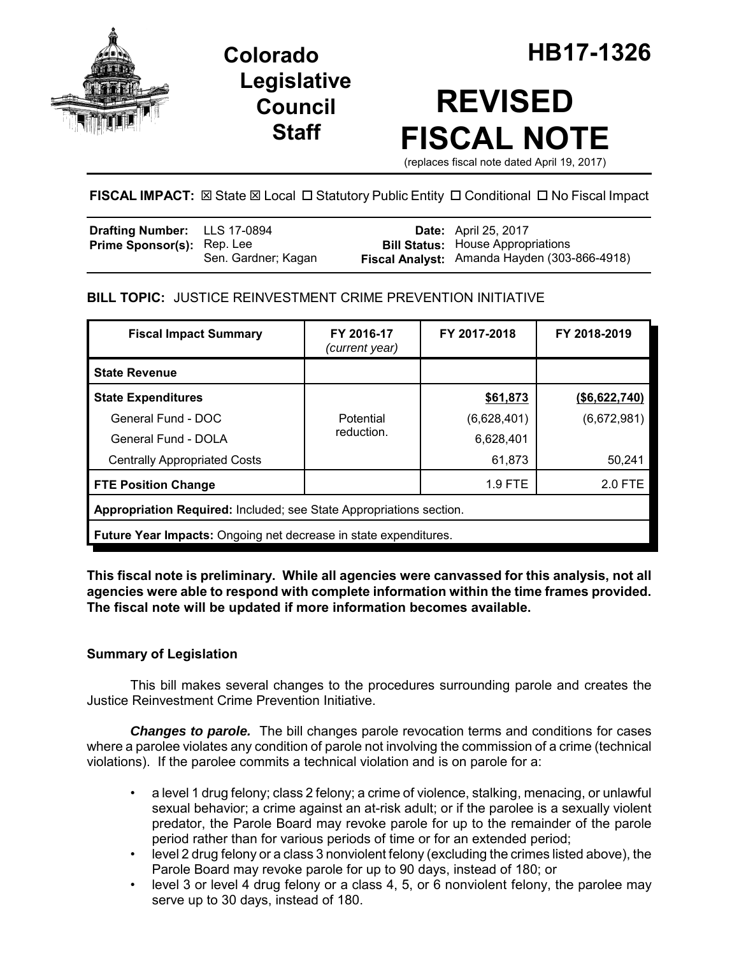

**Legislative Council Staff**

# **REVISED FISCAL NOTE**

(replaces fiscal note dated April 19, 2017)

# FISCAL IMPACT:  $\boxtimes$  State  $\boxtimes$  Local  $\Box$  Statutory Public Entity  $\Box$  Conditional  $\Box$  No Fiscal Impact

| <b>Drafting Number:</b> LLS 17-0894 |                     | <b>Date:</b> April 25, 2017                  |
|-------------------------------------|---------------------|----------------------------------------------|
| <b>Prime Sponsor(s):</b> Rep. Lee   |                     | <b>Bill Status:</b> House Appropriations     |
|                                     | Sen. Gardner; Kagan | Fiscal Analyst: Amanda Hayden (303-866-4918) |

# **BILL TOPIC:** JUSTICE REINVESTMENT CRIME PREVENTION INITIATIVE

| <b>Fiscal Impact Summary</b>                                        | FY 2016-17<br>(current year) | FY 2017-2018 | FY 2018-2019  |  |  |  |
|---------------------------------------------------------------------|------------------------------|--------------|---------------|--|--|--|
| <b>State Revenue</b>                                                |                              |              |               |  |  |  |
| <b>State Expenditures</b>                                           |                              | \$61,873     | (\$6,622,740) |  |  |  |
| General Fund - DOC                                                  | Potential                    | (6,628,401)  | (6,672,981)   |  |  |  |
| General Fund - DOLA                                                 | reduction.                   | 6,628,401    |               |  |  |  |
| <b>Centrally Appropriated Costs</b>                                 |                              | 61,873       | 50,241        |  |  |  |
| <b>FTE Position Change</b>                                          |                              | 1.9 FTE      | 2.0 FTE       |  |  |  |
| Appropriation Required: Included; see State Appropriations section. |                              |              |               |  |  |  |
| Future Year Impacts: Ongoing net decrease in state expenditures.    |                              |              |               |  |  |  |

## **This fiscal note is preliminary. While all agencies were canvassed for this analysis, not all agencies were able to respond with complete information within the time frames provided. The fiscal note will be updated if more information becomes available.**

# **Summary of Legislation**

This bill makes several changes to the procedures surrounding parole and creates the Justice Reinvestment Crime Prevention Initiative.

*Changes to parole.* The bill changes parole revocation terms and conditions for cases where a parolee violates any condition of parole not involving the commission of a crime (technical violations). If the parolee commits a technical violation and is on parole for a:

- a level 1 drug felony; class 2 felony; a crime of violence, stalking, menacing, or unlawful sexual behavior; a crime against an at-risk adult; or if the parolee is a sexually violent predator, the Parole Board may revoke parole for up to the remainder of the parole period rather than for various periods of time or for an extended period;
- level 2 drug felony or a class 3 nonviolent felony (excluding the crimes listed above), the Parole Board may revoke parole for up to 90 days, instead of 180; or
- level 3 or level 4 drug felony or a class 4, 5, or 6 nonviolent felony, the parolee may serve up to 30 days, instead of 180.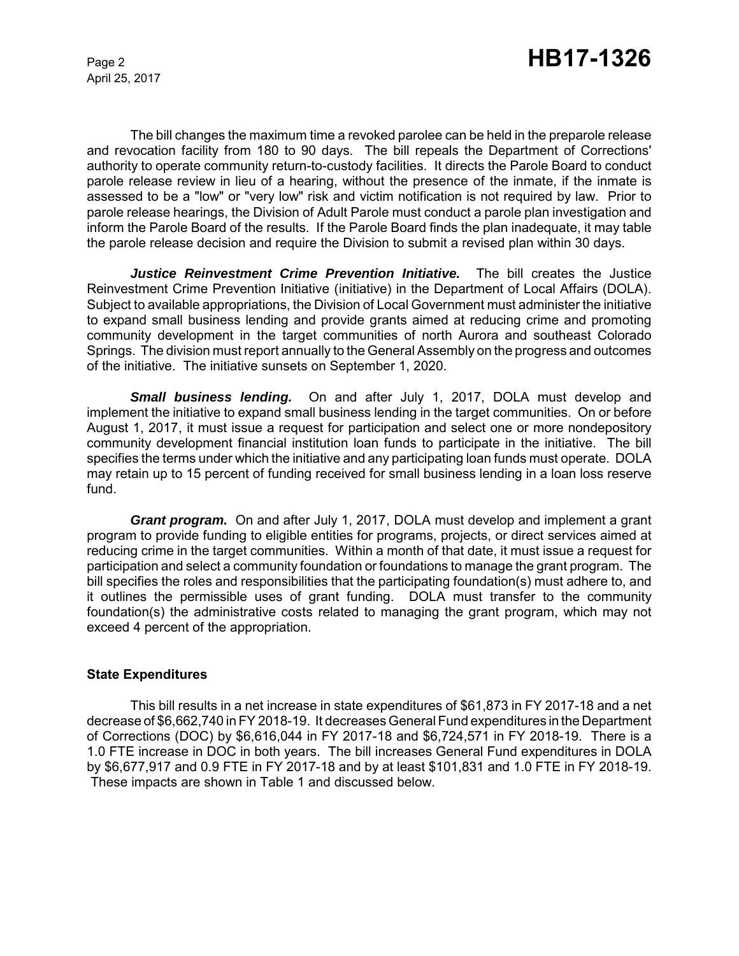April 25, 2017

The bill changes the maximum time a revoked parolee can be held in the preparole release and revocation facility from 180 to 90 days. The bill repeals the Department of Corrections' authority to operate community return-to-custody facilities. It directs the Parole Board to conduct parole release review in lieu of a hearing, without the presence of the inmate, if the inmate is assessed to be a "low" or "very low" risk and victim notification is not required by law. Prior to parole release hearings, the Division of Adult Parole must conduct a parole plan investigation and inform the Parole Board of the results. If the Parole Board finds the plan inadequate, it may table the parole release decision and require the Division to submit a revised plan within 30 days.

*Justice Reinvestment Crime Prevention Initiative.* The bill creates the Justice Reinvestment Crime Prevention Initiative (initiative) in the Department of Local Affairs (DOLA). Subject to available appropriations, the Division of Local Government must administer the initiative to expand small business lending and provide grants aimed at reducing crime and promoting community development in the target communities of north Aurora and southeast Colorado Springs. The division must report annually to the General Assembly on the progress and outcomes of the initiative. The initiative sunsets on September 1, 2020.

*Small business lending.* On and after July 1, 2017, DOLA must develop and implement the initiative to expand small business lending in the target communities. On or before August 1, 2017, it must issue a request for participation and select one or more nondepository community development financial institution loan funds to participate in the initiative. The bill specifies the terms under which the initiative and any participating loan funds must operate. DOLA may retain up to 15 percent of funding received for small business lending in a loan loss reserve fund.

*Grant program.* On and after July 1, 2017, DOLA must develop and implement a grant program to provide funding to eligible entities for programs, projects, or direct services aimed at reducing crime in the target communities. Within a month of that date, it must issue a request for participation and select a community foundation or foundations to manage the grant program. The bill specifies the roles and responsibilities that the participating foundation(s) must adhere to, and it outlines the permissible uses of grant funding. DOLA must transfer to the community foundation(s) the administrative costs related to managing the grant program, which may not exceed 4 percent of the appropriation.

#### **State Expenditures**

This bill results in a net increase in state expenditures of \$61,873 in FY 2017-18 and a net decrease of \$6,662,740 in FY 2018-19. It decreases General Fund expenditures in the Department of Corrections (DOC) by \$6,616,044 in FY 2017-18 and \$6,724,571 in FY 2018-19. There is a 1.0 FTE increase in DOC in both years. The bill increases General Fund expenditures in DOLA by \$6,677,917 and 0.9 FTE in FY 2017-18 and by at least \$101,831 and 1.0 FTE in FY 2018-19. These impacts are shown in Table 1 and discussed below.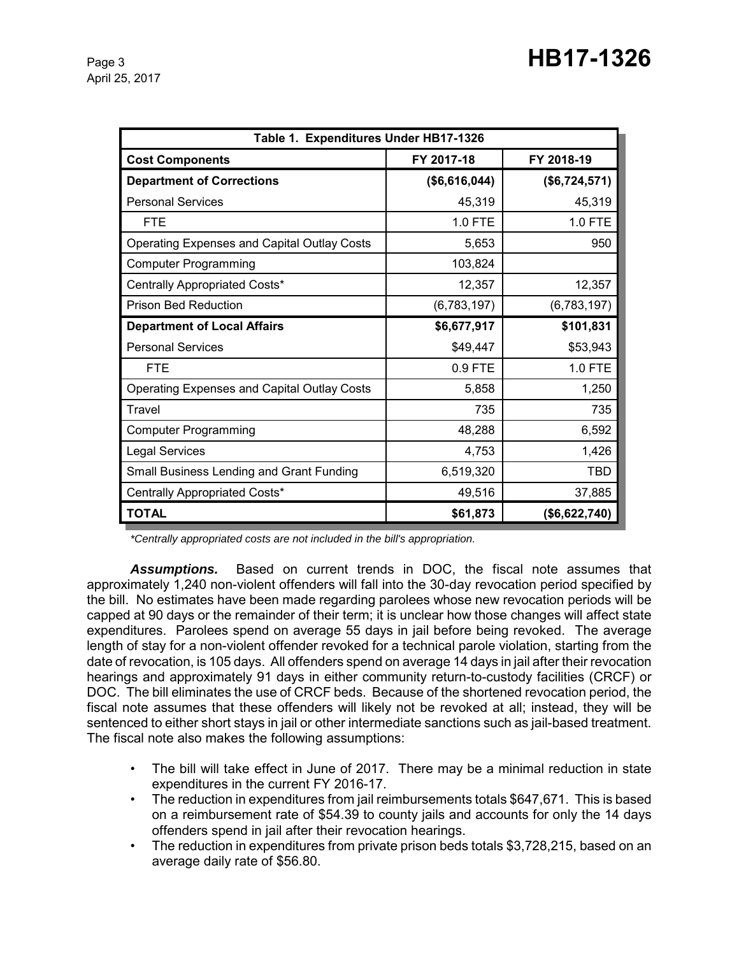| Table 1. Expenditures Under HB17-1326              |               |               |  |  |  |
|----------------------------------------------------|---------------|---------------|--|--|--|
| <b>Cost Components</b>                             | FY 2017-18    | FY 2018-19    |  |  |  |
| <b>Department of Corrections</b>                   | (\$6,616,044) | (\$6,724,571) |  |  |  |
| <b>Personal Services</b>                           | 45,319        | 45,319        |  |  |  |
| <b>FTE</b>                                         | 1.0 FTE       | 1.0 FTE       |  |  |  |
| Operating Expenses and Capital Outlay Costs        | 5,653         | 950           |  |  |  |
| <b>Computer Programming</b>                        | 103,824       |               |  |  |  |
| Centrally Appropriated Costs*                      | 12,357        | 12,357        |  |  |  |
| <b>Prison Bed Reduction</b>                        | (6,783,197)   | (6,783,197)   |  |  |  |
| <b>Department of Local Affairs</b>                 | \$6,677,917   | \$101,831     |  |  |  |
| <b>Personal Services</b>                           | \$49,447      | \$53,943      |  |  |  |
| <b>FTE</b>                                         | 0.9 FTE       | 1.0 FTE       |  |  |  |
| <b>Operating Expenses and Capital Outlay Costs</b> | 5,858         | 1,250         |  |  |  |
| Travel                                             | 735           | 735           |  |  |  |
| <b>Computer Programming</b>                        | 48,288        | 6,592         |  |  |  |
| <b>Legal Services</b>                              | 4,753         | 1,426         |  |  |  |
| Small Business Lending and Grant Funding           | 6,519,320     | <b>TBD</b>    |  |  |  |
| Centrally Appropriated Costs*                      | 49,516        | 37,885        |  |  |  |
| <b>TOTAL</b>                                       | \$61,873      | (\$6,622,740) |  |  |  |

*\*Centrally appropriated costs are not included in the bill's appropriation.*

*Assumptions.* Based on current trends in DOC, the fiscal note assumes that approximately 1,240 non-violent offenders will fall into the 30-day revocation period specified by the bill. No estimates have been made regarding parolees whose new revocation periods will be capped at 90 days or the remainder of their term; it is unclear how those changes will affect state expenditures. Parolees spend on average 55 days in jail before being revoked. The average length of stay for a non-violent offender revoked for a technical parole violation, starting from the date of revocation, is 105 days. All offenders spend on average 14 days in jail after their revocation hearings and approximately 91 days in either community return-to-custody facilities (CRCF) or DOC. The bill eliminates the use of CRCF beds. Because of the shortened revocation period, the fiscal note assumes that these offenders will likely not be revoked at all; instead, they will be sentenced to either short stays in jail or other intermediate sanctions such as jail-based treatment. The fiscal note also makes the following assumptions:

- The bill will take effect in June of 2017. There may be a minimal reduction in state expenditures in the current FY 2016-17.
- The reduction in expenditures from jail reimbursements totals \$647,671. This is based on a reimbursement rate of \$54.39 to county jails and accounts for only the 14 days offenders spend in jail after their revocation hearings.
- The reduction in expenditures from private prison beds totals \$3,728,215, based on an average daily rate of \$56.80.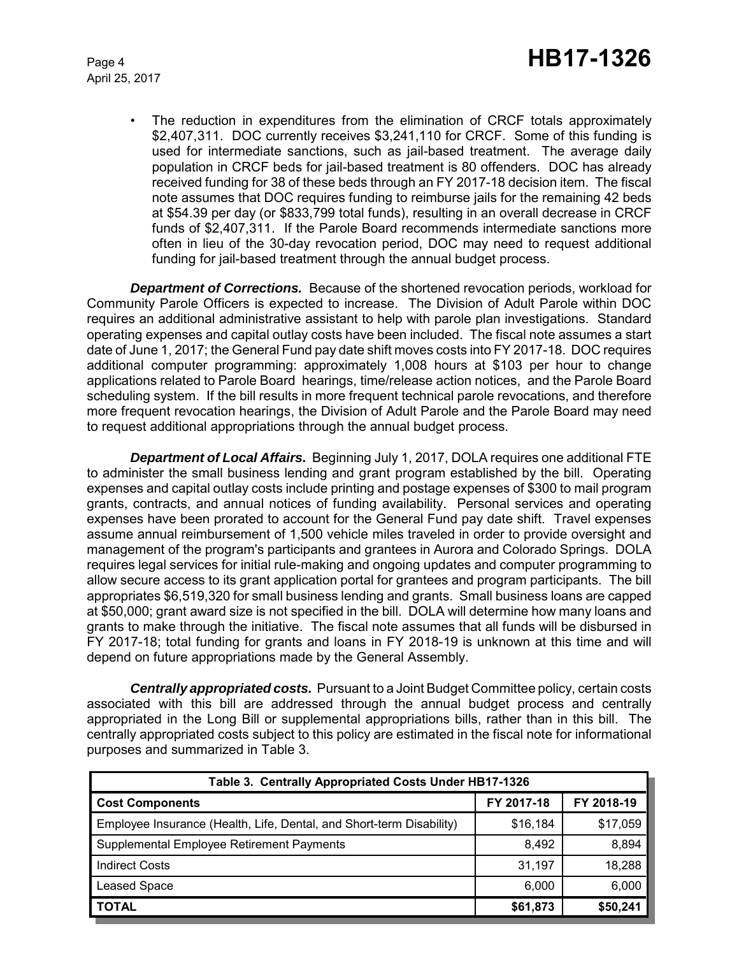April 25, 2017

• The reduction in expenditures from the elimination of CRCF totals approximately \$2,407,311. DOC currently receives \$3,241,110 for CRCF. Some of this funding is used for intermediate sanctions, such as jail-based treatment. The average daily population in CRCF beds for jail-based treatment is 80 offenders. DOC has already received funding for 38 of these beds through an FY 2017-18 decision item. The fiscal note assumes that DOC requires funding to reimburse jails for the remaining 42 beds at \$54.39 per day (or \$833,799 total funds), resulting in an overall decrease in CRCF funds of \$2,407,311. If the Parole Board recommends intermediate sanctions more often in lieu of the 30-day revocation period, DOC may need to request additional funding for jail-based treatment through the annual budget process.

*Department of Corrections.* Because of the shortened revocation periods, workload for Community Parole Officers is expected to increase. The Division of Adult Parole within DOC requires an additional administrative assistant to help with parole plan investigations. Standard operating expenses and capital outlay costs have been included. The fiscal note assumes a start date of June 1, 2017; the General Fund pay date shift moves costs into FY 2017-18. DOC requires additional computer programming: approximately 1,008 hours at \$103 per hour to change applications related to Parole Board hearings, time/release action notices, and the Parole Board scheduling system. If the bill results in more frequent technical parole revocations, and therefore more frequent revocation hearings, the Division of Adult Parole and the Parole Board may need to request additional appropriations through the annual budget process.

*Department of Local Affairs.* Beginning July 1, 2017, DOLA requires one additional FTE to administer the small business lending and grant program established by the bill. Operating expenses and capital outlay costs include printing and postage expenses of \$300 to mail program grants, contracts, and annual notices of funding availability. Personal services and operating expenses have been prorated to account for the General Fund pay date shift. Travel expenses assume annual reimbursement of 1,500 vehicle miles traveled in order to provide oversight and management of the program's participants and grantees in Aurora and Colorado Springs. DOLA requires legal services for initial rule-making and ongoing updates and computer programming to allow secure access to its grant application portal for grantees and program participants. The bill appropriates \$6,519,320 for small business lending and grants. Small business loans are capped at \$50,000; grant award size is not specified in the bill. DOLA will determine how many loans and grants to make through the initiative. The fiscal note assumes that all funds will be disbursed in FY 2017-18; total funding for grants and loans in FY 2018-19 is unknown at this time and will depend on future appropriations made by the General Assembly.

*Centrally appropriated costs.* Pursuant to a Joint Budget Committee policy, certain costs associated with this bill are addressed through the annual budget process and centrally appropriated in the Long Bill or supplemental appropriations bills, rather than in this bill. The centrally appropriated costs subject to this policy are estimated in the fiscal note for informational purposes and summarized in Table 3.

| Table 3. Centrally Appropriated Costs Under HB17-1326                |            |            |  |  |  |  |
|----------------------------------------------------------------------|------------|------------|--|--|--|--|
| <b>Cost Components</b>                                               | FY 2017-18 | FY 2018-19 |  |  |  |  |
| Employee Insurance (Health, Life, Dental, and Short-term Disability) | \$16,184   | \$17,059   |  |  |  |  |
| Supplemental Employee Retirement Payments                            | 8,492      | 8,894      |  |  |  |  |
| <b>Indirect Costs</b>                                                | 31.197     | 18,288     |  |  |  |  |
| <b>Leased Space</b>                                                  | 6,000      | 6,000      |  |  |  |  |
| <b>TOTAL</b>                                                         | \$61,873   | \$50,241   |  |  |  |  |